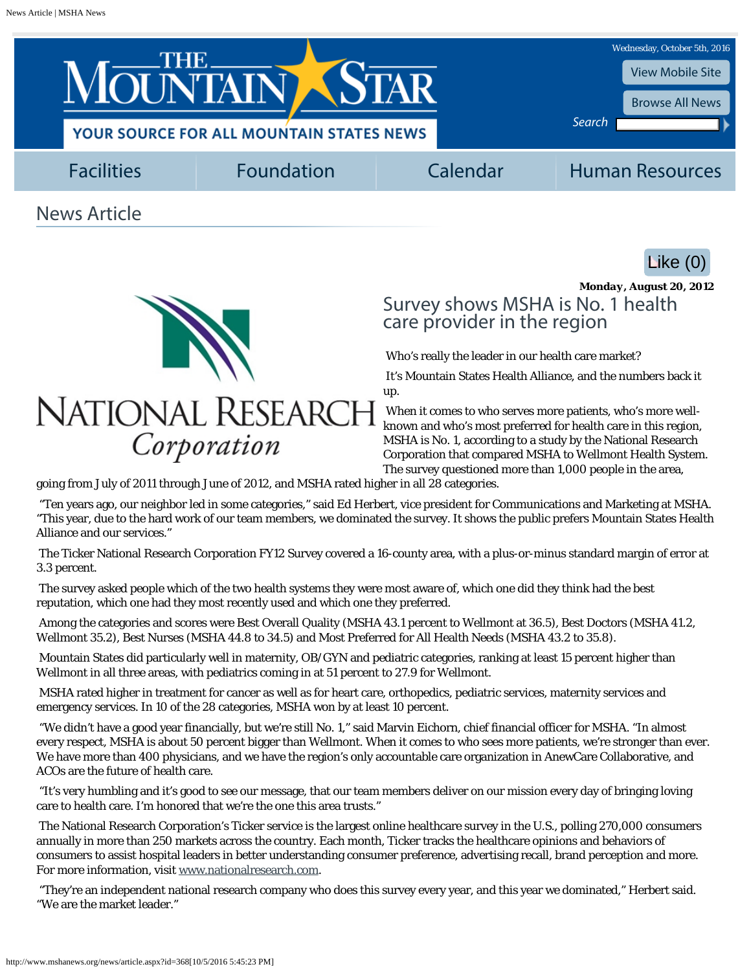<span id="page-0-0"></span>



Corporation

## Survey shows MSHA is No. 1 health care provider in the region

*Monday, August 20, 2012*

Who's really the leader in our health care market?

It's Mountain States Health Alliance, and the numbers back it up.

When it comes to who serves more patients, who's more wellknown and who's most preferred for health care in this region, MSHA is No. 1, according to a study by the National Research Corporation that compared MSHA to Wellmont Health System. The survey questioned more than 1,000 people in the area,

going from July of 2011 through June of 2012, and MSHA rated higher in all 28 categories.

"Ten years ago, our neighbor led in some categories," said Ed Herbert, vice president for Communications and Marketing at MSHA. "This year, due to the hard work of our team members, we dominated the survey. It shows the public prefers Mountain States Health Alliance and our services."

The Ticker National Research Corporation FY12 Survey covered a 16-county area, with a plus-or-minus standard margin of error at 3.3 percent.

The survey asked people which of the two health systems they were most aware of, which one did they think had the best reputation, which one had they most recently used and which one they preferred.

Among the categories and scores were Best Overall Quality (MSHA 43.1 percent to Wellmont at 36.5), Best Doctors (MSHA 41.2, Wellmont 35.2), Best Nurses (MSHA 44.8 to 34.5) and Most Preferred for All Health Needs (MSHA 43.2 to 35.8).

Mountain States did particularly well in maternity, OB/GYN and pediatric categories, ranking at least 15 percent higher than Wellmont in all three areas, with pediatrics coming in at 51 percent to 27.9 for Wellmont.

MSHA rated higher in treatment for cancer as well as for heart care, orthopedics, pediatric services, maternity services and emergency services. In 10 of the 28 categories, MSHA won by at least 10 percent.

"We didn't have a good year financially, but we're still No. 1," said Marvin Eichorn, chief financial officer for MSHA. "In almost every respect, MSHA is about 50 percent bigger than Wellmont. When it comes to who sees more patients, we're stronger than ever. We have more than 400 physicians, and we have the region's only accountable care organization in AnewCare Collaborative, and ACOs are the future of health care.

"It's very humbling and it's good to see our message, that our team members deliver on our mission every day of bringing loving care to health care. I'm honored that we're the one this area trusts."

The National Research Corporation's Ticker service is the largest online healthcare survey in the U.S., polling 270,000 consumers annually in more than 250 markets across the country. Each month, Ticker tracks the healthcare opinions and behaviors of consumers to assist hospital leaders in better understanding consumer preference, advertising recall, brand perception and more. For more information, visit [www.nationalresearch.com.](http://www.nationalresearch.com/)

"They're an independent national research company who does this survey every year, and this year we dominated," Herbert said. "We are the market leader."